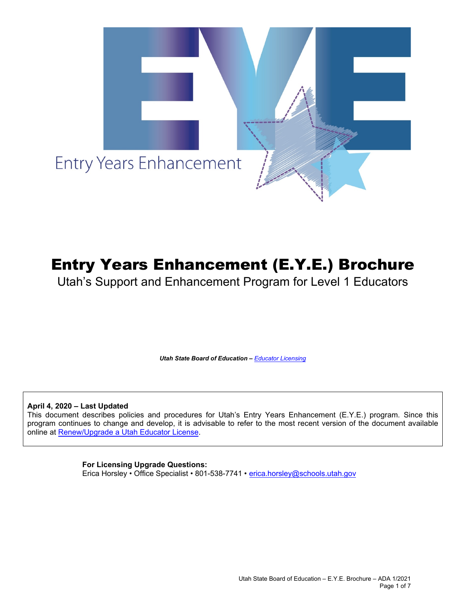

# Entry Years Enhancement (E.Y.E.) Brochure

Utah's Support and Enhancement Program for Level 1 Educators

*Utah State Board of Education – [Educator Licensing](https://www.schools.utah.gov/licensing)*

**April 4, 2020 – Last Updated**

This document describes policies and procedures for Utah's Entry Years Enhancement (E.Y.E.) program. Since this program continues to change and develop, it is advisable to refer to the most recent version of the document available online at [Renew/Upgrade a Utah Educator License.](https://www.schools.utah.gov/licensing/renew)

## **For Licensing Upgrade Questions:**

Erica Horsley • Office Specialist • 801-538-7741 • [erica.horsley@schools.utah.gov](mailto:erica.horsley@schools.utah.gov)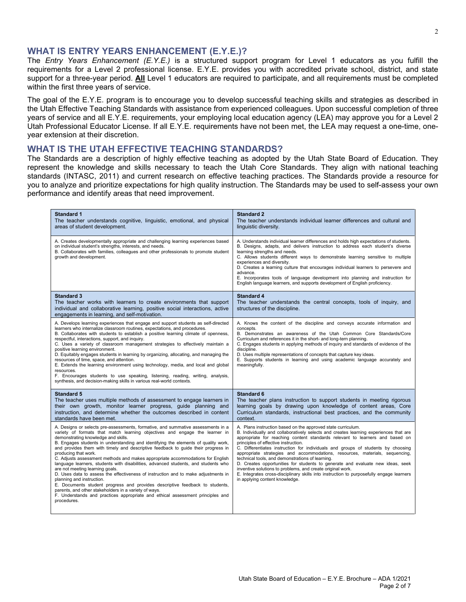## **WHAT IS ENTRY YEARS ENHANCEMENT (E.Y.E.)?**

The *Entry Years Enhancement (E.Y.E.)* is a structured support program for Level 1 educators as you fulfill the requirements for a Level 2 professional license. E.Y.E. provides you with accredited private school, district, and state support for a three-year period. **All** Level 1 educators are required to participate, and all requirements must be completed within the first three years of service.

The goal of the E.Y.E. program is to encourage you to develop successful teaching skills and strategies as described in the Utah Effective Teaching Standards with assistance from experienced colleagues. Upon successful completion of three years of service and all E.Y.E. requirements, your employing local education agency (LEA) may approve you for a Level 2 Utah Professional Educator License. If all E.Y.E. requirements have not been met, the LEA may request a one-time, oneyear extension at their discretion.

## **WHAT IS THE UTAH EFFECTIVE TEACHING STANDARDS?**

The Standards are a description of highly effective teaching as adopted by the Utah State Board of Education. They represent the knowledge and skills necessary to teach the Utah Core Standards. They align with national teaching standards (INTASC, 2011) and current research on effective teaching practices. The Standards provide a resource for you to analyze and prioritize expectations for high quality instruction. The Standards may be used to self-assess your own performance and identify areas that need improvement.

| <b>Standard 1</b><br>The teacher understands cognitive, linguistic, emotional, and physical<br>areas of student development.                                                                                                                                                                                                                                                                                                                                                                                                                                                                                                                                                                                                                                                                                                                                                                                                                                                      | <b>Standard 2</b><br>The teacher understands individual learner differences and cultural and<br>linguistic diversity.                                                                                                                                                                                                                                                                                                                                                                                                                                                                                                                                                                                                                                                               |
|-----------------------------------------------------------------------------------------------------------------------------------------------------------------------------------------------------------------------------------------------------------------------------------------------------------------------------------------------------------------------------------------------------------------------------------------------------------------------------------------------------------------------------------------------------------------------------------------------------------------------------------------------------------------------------------------------------------------------------------------------------------------------------------------------------------------------------------------------------------------------------------------------------------------------------------------------------------------------------------|-------------------------------------------------------------------------------------------------------------------------------------------------------------------------------------------------------------------------------------------------------------------------------------------------------------------------------------------------------------------------------------------------------------------------------------------------------------------------------------------------------------------------------------------------------------------------------------------------------------------------------------------------------------------------------------------------------------------------------------------------------------------------------------|
| A. Creates developmentally appropriate and challenging learning experiences based<br>on individual student's strengths, interests, and needs.<br>B. Collaborates with families, colleagues and other professionals to promote student<br>growth and development.                                                                                                                                                                                                                                                                                                                                                                                                                                                                                                                                                                                                                                                                                                                  | A. Understands individual learner differences and holds high expectations of students.<br>B. Designs, adapts, and delivers instruction to address each student's diverse<br>learning strengths and needs.<br>C. Allows students different ways to demonstrate learning sensitive to multiple<br>experiences and diversity.<br>D. Creates a learning culture that encourages individual learners to persevere and<br>advance.<br>E. Incorporates tools of language development into planning and instruction for<br>English language learners, and supports development of English proficiency.                                                                                                                                                                                      |
| <b>Standard 3</b><br>The teacher works with learners to create environments that support<br>individual and collaborative learning, positive social interactions, active<br>engagements in learning, and self-motivation.                                                                                                                                                                                                                                                                                                                                                                                                                                                                                                                                                                                                                                                                                                                                                          | <b>Standard 4</b><br>The teacher understands the central concepts, tools of inquiry, and<br>structures of the discipline.                                                                                                                                                                                                                                                                                                                                                                                                                                                                                                                                                                                                                                                           |
| A. Develops learning experiences that engage and support students as self-directed<br>learners who internalize classroom routines, expectations, and procedures.<br>B. Collaborates with students to establish a positive learning climate of openness,<br>respectful, interactions, support, and inquiry.<br>C. Uses a variety of classroom management strategies to effectively maintain a<br>positive learning environment.<br>D. Equitably engages students in learning by organizing, allocating, and managing the<br>resources of time, space, and attention.<br>E. Extends the learning environment using technology, media, and local and global<br>resources.<br>F. Encourages students to use speaking, listening, reading, writing, analysis,<br>synthesis, and decision-making skills in various real-world contexts.                                                                                                                                                 | A. Knows the content of the discipline and conveys accurate information and<br>concepts.<br>B. Demonstrates an awareness of the Utah Common Core Standards/Core<br>Curriculum and references it in the short- and long-tern planning.<br>C. Engages students in applying methods of inquiry and standards of evidence of the<br>discipline.<br>D. Uses multiple representations of concepts that capture key ideas.<br>E. Supports students in learning and using academic language accurately and<br>meaningfully.                                                                                                                                                                                                                                                                 |
| <b>Standard 5</b><br>The teacher uses multiple methods of assessment to engage learners in<br>their own growth, monitor learner progress, quide planning and<br>instruction, and determine whether the outcomes described in content<br>standards have been met.                                                                                                                                                                                                                                                                                                                                                                                                                                                                                                                                                                                                                                                                                                                  | <b>Standard 6</b><br>The teacher plans instruction to support students in meeting rigorous<br>learning goals by drawing upon knowledge of content areas, Core<br>Curriculum standards, instructional best practices, and the community<br>context.                                                                                                                                                                                                                                                                                                                                                                                                                                                                                                                                  |
| A. Designs or selects pre-assessments, formative, and summative assessments in a<br>variety of formats that match learning objectives and engage the learner in<br>demonstrating knowledge and skills.<br>B. Engages students in understanding and identifying the elements of quality work,<br>and provides them with timely and descriptive feedback to quide their progress in<br>producing that work.<br>C. Adjusts assessment methods and makes appropriate accommodations for English<br>language learners, students with disabilities, advanced students, and students who<br>are not meeting learning goals.<br>D. Uses data to assess the effectiveness of instruction and to make adjustments in<br>planning and instruction.<br>E. Documents student progress and provides descriptive feedback to students,<br>parents, and other stakeholders in a variety of ways.<br>F. Understands and practices appropriate and ethical assessment principles and<br>procedures. | A. Plans instruction based on the approved state curriculum.<br>B. Individually and collaboratively selects and creates learning experiences that are<br>appropriate for reaching content standards relevant to learners and based on<br>principles of effective instruction.<br>C. Differentiates instruction for individuals and groups of students by choosing<br>appropriate strategies and accommodations, resources, materials, sequencing,<br>technical tools, and demonstrations of learning.<br>D. Creates opportunities for students to generate and evaluate new ideas, seek<br>inventive solutions to problems, and create original work.<br>E. Integrates cross-disciplinary skills into instruction to purposefully engage learners<br>in applying content knowledge. |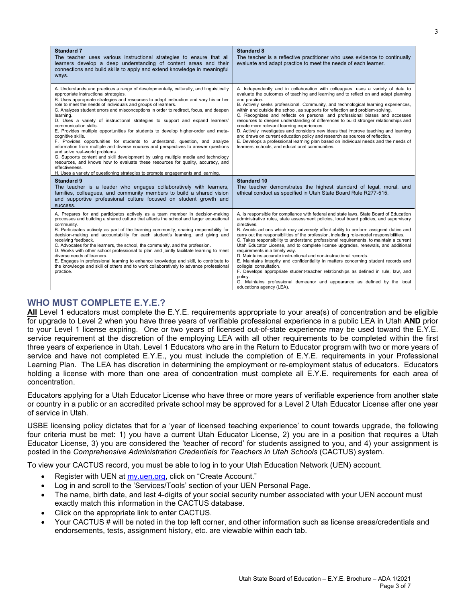| <b>Standard 7</b><br>The teacher uses various instructional strategies to ensure that all<br>learners develop a deep understanding of content areas and their<br>connections and build skills to apply and extend knowledge in meaningful<br>ways.                                                                                                                                                                                                                                                                                                                                                                                                                                                                                                                                                                                                                                                                                                                                                                                                                                                       | <b>Standard 8</b><br>The teacher is a reflective practitioner who uses evidence to continually<br>evaluate and adapt practice to meet the needs of each learner.                                                                                                                                                                                                                                                                                                                                                                                                                                                                                                                                                                                                                                                                                                                                                                                                                                      |
|----------------------------------------------------------------------------------------------------------------------------------------------------------------------------------------------------------------------------------------------------------------------------------------------------------------------------------------------------------------------------------------------------------------------------------------------------------------------------------------------------------------------------------------------------------------------------------------------------------------------------------------------------------------------------------------------------------------------------------------------------------------------------------------------------------------------------------------------------------------------------------------------------------------------------------------------------------------------------------------------------------------------------------------------------------------------------------------------------------|-------------------------------------------------------------------------------------------------------------------------------------------------------------------------------------------------------------------------------------------------------------------------------------------------------------------------------------------------------------------------------------------------------------------------------------------------------------------------------------------------------------------------------------------------------------------------------------------------------------------------------------------------------------------------------------------------------------------------------------------------------------------------------------------------------------------------------------------------------------------------------------------------------------------------------------------------------------------------------------------------------|
| A. Understands and practices a range of developmentally, culturally, and linguistically<br>appropriate instructional strategies.<br>B. Uses appropriate strategies and resources to adapt instruction and vary his or her<br>role to meet the needs of individuals and groups of learners.<br>C. Analyzes student errors and misconceptions in order to redirect, focus, and deepen<br>learning.<br>D. Uses a variety of instructional strategies to support and expand learners'<br>communication skills.<br>E. Provides multiple opportunities for students to develop higher-order and meta-<br>cognitive skills.<br>F. Provides opportunities for students to understand, question, and analyze<br>information from multiple and diverse sources and perspectives to answer questions<br>and solve real-world problems.<br>G. Supports content and skill development by using multiple media and technology<br>resources, and knows how to evaluate these resources for quality, accuracy, and<br>effectiveness.<br>H. Uses a variety of questioning strategies to promote engagements and learning. | A. Independently and in collaboration with colleagues, uses a variety of data to<br>evaluate the outcomes of teaching and learning and to reflect on and adapt planning<br>and practice.<br>B. Actively seeks professional. Community, and technological learning experiences,<br>within and outside the school, as supports for reflection and problem-solving.<br>C. Recognizes and reflects on personal and professional biases and accesses<br>resources to deepen understanding of differences to build stronger relationships and<br>create more relevant learning experiences.<br>D. Actively investigates and considers new ideas that improve teaching and learning<br>and draws on current education policy and research as sources of reflection.<br>E. Develops a professional learning plan based on individual needs and the needs of<br>learners, schools, and educational communities.                                                                                                |
| <b>Standard 9</b><br>The teacher is a leader who engages collaboratively with learners,<br>families, colleagues, and community members to build a shared vision<br>and supportive professional culture focused on student growth and<br>success.                                                                                                                                                                                                                                                                                                                                                                                                                                                                                                                                                                                                                                                                                                                                                                                                                                                         | <b>Standard 10</b><br>The teacher demonstrates the highest standard of legal, moral, and<br>ethical conduct as specified in Utah State Board Rule R277-515.                                                                                                                                                                                                                                                                                                                                                                                                                                                                                                                                                                                                                                                                                                                                                                                                                                           |
| A. Prepares for and participates actively as a team member in decision-making<br>processes and building a shared culture that affects the school and larger educational<br>community.<br>B. Participates actively as part of the learning community, sharing responsibility for<br>decision-making and accountability for each student's learning, and giving and<br>receiving feedback.<br>C. Advocates for the learners, the school, the community, and the profession.<br>D. Works with other school professional to plan and jointly facilitate learning to meet<br>diverse needs of learners.<br>E. Engages in professional learning to enhance knowledge and skill, to contribute to<br>the knowledge and skill of others and to work collaboratively to advance professional<br>practice.                                                                                                                                                                                                                                                                                                         | A. Is responsible for compliance with federal and state laws, State Board of Education<br>administrative rules, state assessment policies, local board policies, and supervisory<br>directives.<br>B. Avoids actions which may adversely affect ability to perform assigned duties and<br>carry out the responsibilities of the profession, including role-model responsibilities.<br>C. Takes responsibility to understand professional requirements, to maintain a current<br>Utah Educator License, and to complete license upgrades, renewals, and additional<br>requirements in a timely way.<br>D. Maintains accurate instructional and non-instructional records.<br>E. Maintains integrity and confidentiality in matters concerning student records and<br>collegial consultation.<br>F. Develops appropriate student-teacher relationships as defined in rule, law, and<br>policy.<br>G. Maintains professional demeanor and appearance as defined by the local<br>educations agency (LEA). |

# **WHO MUST COMPLETE E.Y.E.?**

**All** Level 1 educators must complete the E.Y.E. requirements appropriate to your area(s) of concentration and be eligible for upgrade to Level 2 when you have three years of verifiable professional experience in a public LEA in Utah **AND** prior to your Level 1 license expiring. One or two years of licensed out-of-state experience may be used toward the E.Y.E. service requirement at the discretion of the employing LEA with all other requirements to be completed within the first three years of experience in Utah. Level 1 Educators who are in the Return to Educator program with two or more years of service and have not completed E.Y.E., you must include the completion of E.Y.E. requirements in your Professional Learning Plan. The LEA has discretion in determining the employment or re-employment status of educators. Educators holding a license with more than one area of concentration must complete all E.Y.E. requirements for each area of concentration.

Educators applying for a Utah Educator License who have three or more years of verifiable experience from another state or country in a public or an accredited private school may be approved for a Level 2 Utah Educator License after one year of service in Utah.

USBE licensing policy dictates that for a 'year of licensed teaching experience' to count towards upgrade, the following four criteria must be met: 1) you have a current Utah Educator License, 2) you are in a position that requires a Utah Educator License, 3) you are considered the 'teacher of record' for students assigned to you, and 4) your assignment is posted in the *Comprehensive Administration Credentials for Teachers in Utah Schools* (CACTUS) system.

To view your CACTUS record, you must be able to log in to your Utah Education Network (UEN) account.

- Register with UEN at [my.uen.](https://my.uen.org/)org, click on "Create Account."
- Log in and scroll to the 'Services/Tools' section of your UEN Personal Page.
- The name, birth date, and last 4-digits of your social security number associated with your UEN account must exactly match this information in the CACTUS database.
- Click on the appropriate link to enter CACTUS.
- Your CACTUS # will be noted in the top left corner, and other information such as license areas/credentials and endorsements, tests, assignment history, etc. are viewable within each tab.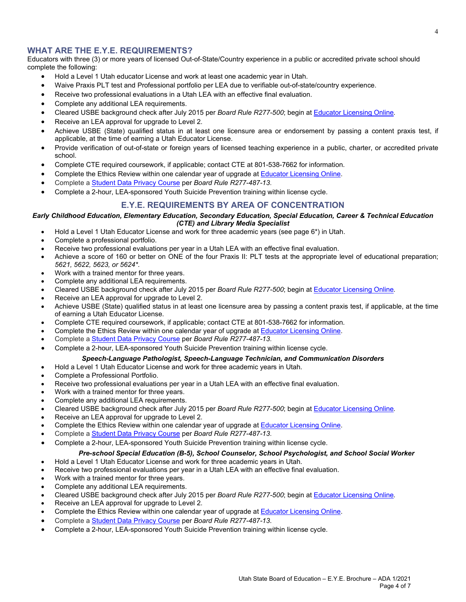## **WHAT ARE THE E.Y.E. REQUIREMENTS?**

Educators with three (3) or more years of licensed Out-of-State/Country experience in a public or accredited private school should complete the following:

- Hold a Level 1 Utah educator License and work at least one academic year in Utah.
- Waive Praxis PLT test and Professional portfolio per LEA due to verifiable out-of-state/country experience.
- Receive two professional evaluations in a Utah LEA with an effective final evaluation.
- Complete any additional LEA requirements.
- Cleared USBE background check after July 2015 per *Board Rule R277-500*; begin at [Educator Licensing Online](http://www.utah.gov/teachers)*.*
- Receive an LEA approval for upgrade to Level 2.
- Achieve USBE (State) qualified status in at least one licensure area or endorsement by passing a content praxis test, if applicable, at the time of earning a Utah Educator License.
- Provide verification of out-of-state or foreign years of licensed teaching experience in a public, charter, or accredited private school.
- Complete CTE required coursework, if applicable; contact CTE at 801-538-7662 for information.
- Complete the Ethics Review within one calendar year of upgrade a[t Educator Licensing Online.](http://www.utah.gov/teachers)
- Complete [a Student Data Privacy Course](https://usbe.instructure.com/courses/75/) per *Board Rule R277-487-13*.
- Complete a 2-hour, LEA-sponsored Youth Suicide Prevention training within license cycle.

## **E.Y.E. REQUIREMENTS BY AREA OF CONCENTRATION**

#### *Early Childhood Education, Elementary Education, Secondary Education, Special Education, Career & Technical Education (CTE) and Library Media Specialist*

- Hold a Level 1 Utah Educator License and work for three academic years (see page 6\*) in Utah.
- Complete a professional portfolio.
- Receive two professional evaluations per year in a Utah LEA with an effective final evaluation.
- Achieve a score of 160 or better on ONE of the four Praxis II: PLT tests at the appropriate level of educational preparation; *5621, 5622, 5623, or 5624\**.
- Work with a trained mentor for three years.
- Complete any additional LEA requirements.
- Cleared USBE background check after July 2015 per *Board Rule R277-500*; begin at [Educator Licensing Online](http://www.utah.gov/teachers)*.*
- Receive an LEA approval for upgrade to Level 2.
- Achieve USBE (State) qualified status in at least one licensure area by passing a content praxis test, if applicable, at the time of earning a Utah Educator License.
- Complete CTE required coursework, if applicable; contact CTE at 801-538-7662 for information.
- Complete the Ethics Review within one calendar year of upgrade at **Educator Licensing Online**.
- Complete [a Student Data Privacy Course](https://usbe.instructure.com/courses/75/) per *Board Rule R277-487-13*.
- Complete a 2-hour, LEA-sponsored Youth Suicide Prevention training within license cycle.

## *Speech-Language Pathologist, Speech-Language Technician, and Communication Disorders*

- Hold a Level 1 Utah Educator License and work for three academic years in Utah.
- Complete a Professional Portfolio.
- Receive two professional evaluations per year in a Utah LEA with an effective final evaluation.
- Work with a trained mentor for three years.
- Complete any additional LEA requirements.
- Cleared USBE background check after July 2015 per *Board Rule R277-500*; begin at [Educator Licensing Online](http://www.utah.gov/teachers)*.*
- Receive an LEA approval for upgrade to Level 2.
- Complete the Ethics Review within one calendar year of upgrade a[t Educator Licensing Online.](http://www.utah.gov/teachers)
- Complete [a Student Data Privacy Course](https://usbe.instructure.com/courses/75/) per *Board Rule R277-487-13*.
- Complete a 2-hour, LEA-sponsored Youth Suicide Prevention training within license cycle.

## *Pre-school Special Education (B-5), School Counselor, School Psychologist, and School Social Worker*

- Hold a Level 1 Utah Educator License and work for three academic years in Utah.
- Receive two professional evaluations per year in a Utah LEA with an effective final evaluation.
- Work with a trained mentor for three years.
- Complete any additional LEA requirements.
- Cleared USBE background check after July 2015 per *Board Rule R277-500*; begin at [Educator Licensing Online](http://www.utah.gov/teachers)*.*
- Receive an LEA approval for upgrade to Level 2.
- Complete the Ethics Review within one calendar year of upgrade a[t Educator Licensing Online.](http://www.utah.gov/teachers)
- Complete [a Student Data Privacy Course](https://usbe.instructure.com/courses/75/) per *Board Rule R277-487-13*.
- Complete a 2-hour, LEA-sponsored Youth Suicide Prevention training within license cycle.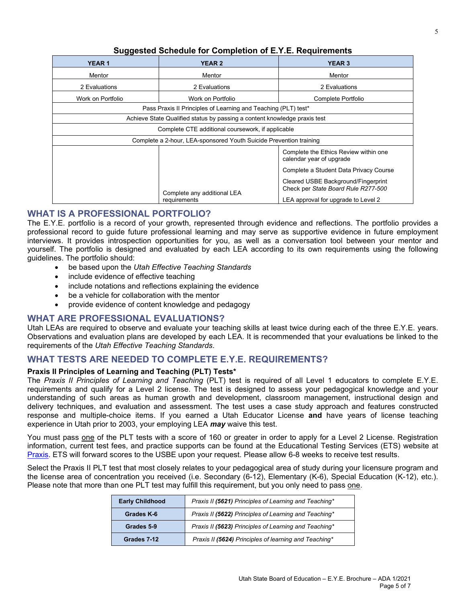| uu –                                                               |                                                                           |                                                                                                                   |  |  |
|--------------------------------------------------------------------|---------------------------------------------------------------------------|-------------------------------------------------------------------------------------------------------------------|--|--|
| <b>YEAR1</b>                                                       | <b>YEAR 2</b>                                                             | <b>YEAR 3</b>                                                                                                     |  |  |
| Mentor                                                             | Mentor                                                                    | Mentor                                                                                                            |  |  |
| 2 Evaluations                                                      | 2 Evaluations                                                             | 2 Evaluations                                                                                                     |  |  |
| Work on Portfolio                                                  | Work on Portfolio                                                         | Complete Portfolio                                                                                                |  |  |
| Pass Praxis II Principles of Learning and Teaching (PLT) test*     |                                                                           |                                                                                                                   |  |  |
|                                                                    | Achieve State Qualified status by passing a content knowledge praxis test |                                                                                                                   |  |  |
| Complete CTE additional coursework, if applicable                  |                                                                           |                                                                                                                   |  |  |
| Complete a 2-hour, LEA-sponsored Youth Suicide Prevention training |                                                                           |                                                                                                                   |  |  |
|                                                                    |                                                                           | Complete the Ethics Review within one<br>calendar year of upgrade                                                 |  |  |
|                                                                    |                                                                           | Complete a Student Data Privacy Course                                                                            |  |  |
|                                                                    | Complete any additional LEA<br>requirements                               | Cleared USBE Background/Fingerprint<br>Check per State Board Rule R277-500<br>LEA approval for upgrade to Level 2 |  |  |

# **Suggested Schedule for Completion of E.Y.E. Requirements**

# **WHAT IS A PROFESSIONAL PORTFOLIO?**

The E.Y.E. portfolio is a record of your growth, represented through evidence and reflections. The portfolio provides a professional record to guide future professional learning and may serve as supportive evidence in future employment interviews. It provides introspection opportunities for you, as well as a conversation tool between your mentor and yourself. The portfolio is designed and evaluated by each LEA according to its own requirements using the following guidelines. The portfolio should:

- be based upon the *Utah Effective Teaching Standards*
- include evidence of effective teaching
- include notations and reflections explaining the evidence
- be a vehicle for collaboration with the mentor
- provide evidence of content knowledge and pedagogy

# **WHAT ARE PROFESSIONAL EVALUATIONS?**

Utah LEAs are required to observe and evaluate your teaching skills at least twice during each of the three E.Y.E. years. Observations and evaluation plans are developed by each LEA. It is recommended that your evaluations be linked to the requirements of the *Utah Effective Teaching Standards.*

# **WHAT TESTS ARE NEEDED TO COMPLETE E.Y.E. REQUIREMENTS?**

## **Praxis II Principles of Learning and Teaching (PLT) Tests\***

The *Praxis II Principles of Learning and Teaching* (PLT) test is required of all Level 1 educators to complete E.Y.E. requirements and qualify for a Level 2 license. The test is designed to assess your pedagogical knowledge and your understanding of such areas as human growth and development, classroom management, instructional design and delivery techniques, and evaluation and assessment. The test uses a case study approach and features constructed response and multiple-choice items. If you earned a Utah Educator License **and** have years of license teaching experience in Utah prior to 2003, your employing LEA *may* waive this test.

You must pass one of the PLT tests with a score of 160 or greater in order to apply for a Level 2 License. Registration information, current test fees, and practice supports can be found at the Educational Testing Services (ETS) website at [Praxis.](http://www.ets.org/praxis/ut) ETS will forward scores to the USBE upon your request. Please allow 6-8 weeks to receive test results.

Select the Praxis II PLT test that most closely relates to your pedagogical area of study during your licensure program and the license area of concentration you received (i.e. Secondary (6-12), Elementary (K-6), Special Education (K-12), etc.). Please note that more than one PLT test may fulfill this requirement, but you only need to pass one.

| <b>Early Childhood</b> | Praxis II (5621) Principles of Learning and Teaching* |
|------------------------|-------------------------------------------------------|
| Grades K-6             | Praxis II (5622) Principles of Learning and Teaching* |
| Grades 5-9             | Praxis II (5623) Principles of Learning and Teaching* |
| Grades 7-12            | Praxis II (5624) Principles of learning and Teaching* |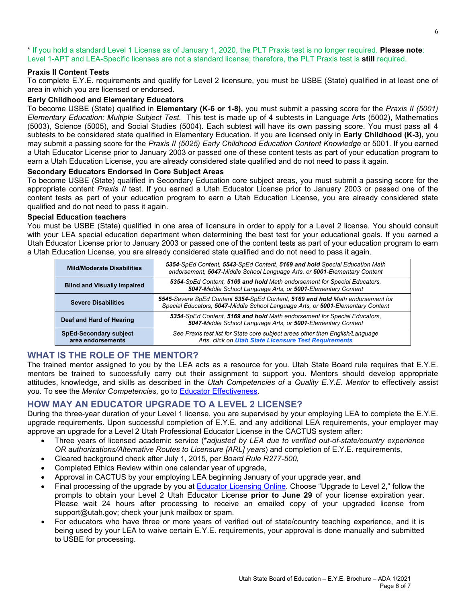\* If you hold a standard Level 1 License as of January 1, 2020, the PLT Praxis test is no longer required. **Please note**: Level 1-APT and LEA-Specific licenses are not a standard license; therefore, the PLT Praxis test is **still** required.

## **Praxis II Content Tests**

To complete E.Y.E. requirements and qualify for Level 2 licensure, you must be USBE (State) qualified in at least one of area in which you are licensed or endorsed.

## **Early Childhood and Elementary Educators**

To become USBE (State) qualified in **Elementary (K-6 or 1-8),** you must submit a passing score for the *Praxis II (5001) Elementary Education: Multiple Subject Test.* This test is made up of 4 subtests in Language Arts (5002), Mathematics (5003), Science (5005), and Social Studies (5004). Each subtest will have its own passing score. You must pass all 4 subtests to be considered state qualified in Elementary Education. If you are licensed only in **Early Childhood (K-3),** you may submit a passing score for the *Praxis II (5025) Early Childhood Education Content Knowledge* or 5001*.* If you earned a Utah Educator License prior to January 2003 or passed one of these content tests as part of your education program to earn a Utah Education License, you are already considered state qualified and do not need to pass it again.

## **Secondary Educators Endorsed in Core Subject Areas**

To become USBE (State) qualified in Secondary Education core subject areas, you must submit a passing score for the appropriate content *Praxis II* test. If you earned a Utah Educator License prior to January 2003 or passed one of the content tests as part of your education program to earn a Utah Education License, you are already considered state qualified and do not need to pass it again.

### **Special Education teachers**

You must be USBE (State) qualified in one area of licensure in order to apply for a Level 2 license. You should consult with your LEA special education department when determining the best test for your educational goals. If you earned a Utah Educator License prior to January 2003 or passed one of the content tests as part of your education program to earn a Utah Education License, you are already considered state qualified and do not need to pass it again.

| <b>Mild/Moderate Disabilities</b>                  | 5354-SpEd Content, 5543-SpEd Content, 5169 and hold Special Education Math<br>endorsement, 5047-Middle School Language Arts, or 5001-Elementary Content           |
|----------------------------------------------------|-------------------------------------------------------------------------------------------------------------------------------------------------------------------|
| <b>Blind and Visually Impaired</b>                 | 5354-SpEd Content, 5169 and hold Math endorsement for Special Educators,<br>5047-Middle School Language Arts, or 5001-Elementary Content                          |
| <b>Severe Disabilities</b>                         | 5545-Severe SpEd Content 5354-SpEd Content, 5169 and hold Math endorsement for<br>Special Educators, 5047-Middle School Language Arts, or 5001-Elementary Content |
| Deaf and Hard of Hearing                           | 5354-SpEd Content, 5169 and hold Math endorsement for Special Educators,<br>5047-Middle School Language Arts, or 5001-Elementary Content                          |
| <b>SpEd-Secondary subject</b><br>area endorsements | See Praxis test list for State core subject areas other than English/Language<br>Arts, click on Utah State Licensure Test Requirements                            |

# **WHAT IS THE ROLE OF THE MENTOR?**

The trained mentor assigned to you by the LEA acts as a resource for you. Utah State Board rule requires that E.Y.E. mentors be trained to successfully carry out their assignment to support you. Mentors should develop appropriate attitudes, knowledge, and skills as described in the *Utah Competencies of a Quality E.Y.E. Mentor* to effectively assist you. To see the *Mentor Competencies,* go to [Educator Effectiveness.](https://www.google.com/url?client=internal-element-cse&cx=004767599214043181413:fbhnnu9j_la&q=https://www.schools.utah.gov/file/7313cfe5-5e68-41ef-9de4-03e5a9d395d8&sa=U&ved=2ahUKEwi9pYWeyNDuAhUFrJ4KHXUWA_gQFjAAegQIARAB&usg=AOvVaw2hjNjo01FxqsmHpARvEPrI)

# **HOW MAY AN EDUCATOR UPGRADE TO A LEVEL 2 LICENSE?**

During the three-year duration of your Level 1 license, you are supervised by your employing LEA to complete the E.Y.E. upgrade requirements. Upon successful completion of E.Y.E. and any additional LEA requirements, your employer may approve an upgrade for a Level 2 Utah Professional Educator License in the CACTUS system after:

- Three years of licensed academic service (\**adjusted by LEA due to verified out-of-state/country experience OR authorizations/Alternative Routes to Licensure [ARL] years*) and completion of E.Y.E. requirements,
- Cleared background check after July 1, 2015, per *Board Rule R277-500*,
- Completed Ethics Review within one calendar year of upgrade,
- Approval in CACTUS by your employing LEA beginning January of your upgrade year, **and**
- Final processing of the upgrade by you at **Educator Licensing Online**. Choose "Upgrade to Level 2," follow the prompts to obtain your Level 2 Utah Educator License **prior to June 29** of your license expiration year. Please wait 24 hours after processing to receive an emailed copy of your upgraded license from support@utah.gov; check your junk mailbox or spam.
- For educators who have three or more years of verified out of state/country teaching experience, and it is being used by your LEA to waive certain E.Y.E. requirements, your approval is done manually and submitted to USBE for processing.